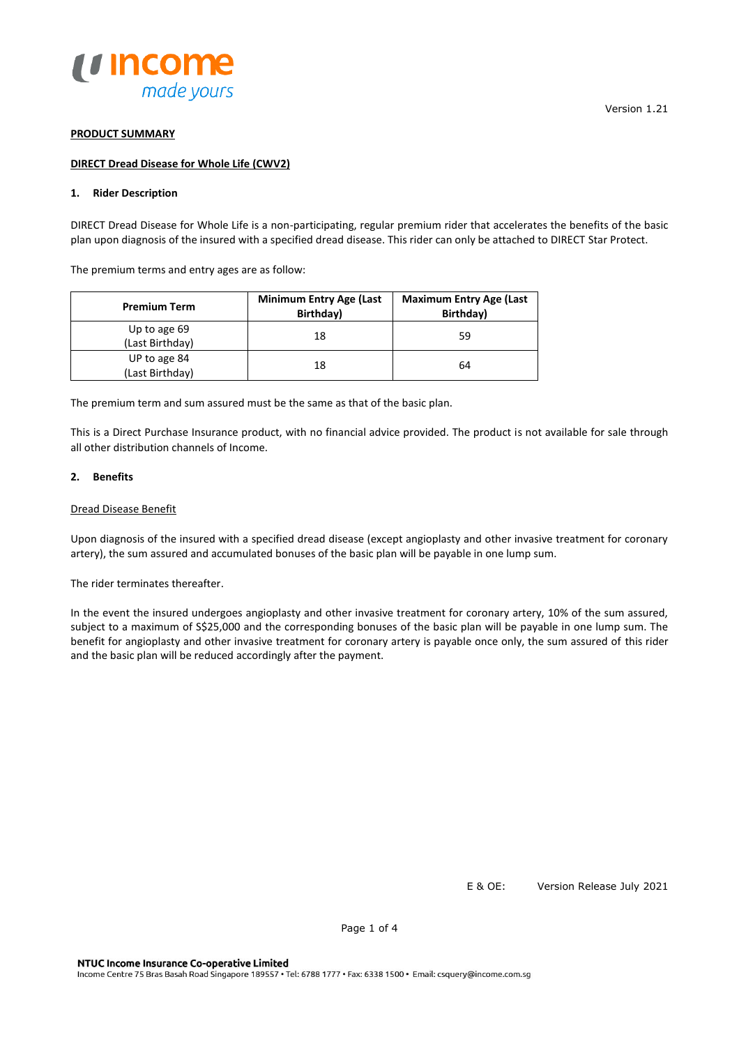

### **PRODUCT SUMMARY**

### **DIRECT Dread Disease for Whole Life (CWV2)**

# **1. Rider Description**

DIRECT Dread Disease for Whole Life is a non-participating, regular premium rider that accelerates the benefits of the basic plan upon diagnosis of the insured with a specified dread disease. This rider can only be attached to DIRECT Star Protect.

The premium terms and entry ages are as follow:

| <b>Premium Term</b>             | <b>Minimum Entry Age (Last</b><br>Birthday) | <b>Maximum Entry Age (Last</b><br>Birthday) |
|---------------------------------|---------------------------------------------|---------------------------------------------|
| Up to age 69<br>(Last Birthday) | 18                                          | 59                                          |
| UP to age 84<br>(Last Birthday) | 18                                          | 64                                          |

The premium term and sum assured must be the same as that of the basic plan.

This is a Direct Purchase Insurance product, with no financial advice provided. The product is not available for sale through all other distribution channels of Income.

### **2. Benefits**

# Dread Disease Benefit

Upon diagnosis of the insured with a specified dread disease (except angioplasty and other invasive treatment for coronary artery), the sum assured and accumulated bonuses of the basic plan will be payable in one lump sum.

The rider terminates thereafter.

In the event the insured undergoes angioplasty and other invasive treatment for coronary artery, 10% of the sum assured, subject to a maximum of S\$25,000 and the corresponding bonuses of the basic plan will be payable in one lump sum. The benefit for angioplasty and other invasive treatment for coronary artery is payable once only, the sum assured of this rider and the basic plan will be reduced accordingly after the payment.

Version 1.21

E & OE: Version Release July 2021

Page 1 of 4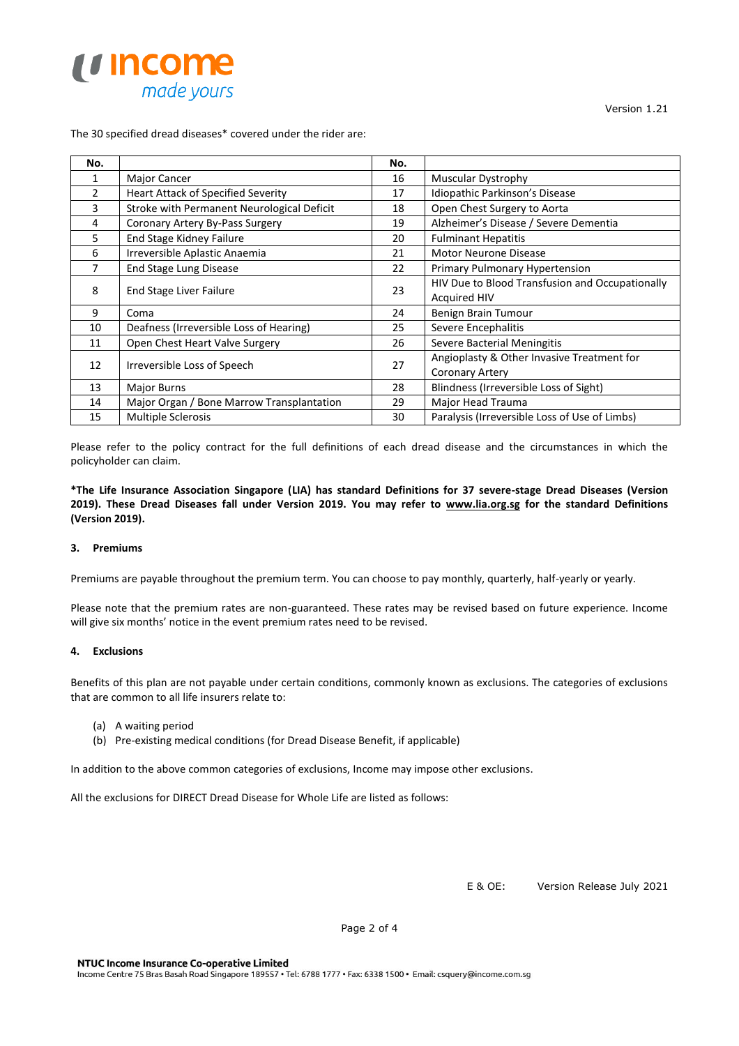

Version 1.21

# The 30 specified dread diseases\* covered under the rider are:

| No.                                 |                                            | No. |                                                 |
|-------------------------------------|--------------------------------------------|-----|-------------------------------------------------|
| 1                                   | Major Cancer                               | 16  | <b>Muscular Dystrophy</b>                       |
| $\overline{2}$                      | <b>Heart Attack of Specified Severity</b>  | 17  | Idiopathic Parkinson's Disease                  |
| 3                                   | Stroke with Permanent Neurological Deficit | 18  | Open Chest Surgery to Aorta                     |
| 4                                   | Coronary Artery By-Pass Surgery            | 19  | Alzheimer's Disease / Severe Dementia           |
| 5                                   | End Stage Kidney Failure                   | 20  | <b>Fulminant Hepatitis</b>                      |
| 6                                   | Irreversible Aplastic Anaemia              | 21  | <b>Motor Neurone Disease</b>                    |
|                                     | End Stage Lung Disease                     | 22  | Primary Pulmonary Hypertension                  |
| 8<br><b>End Stage Liver Failure</b> |                                            | 23  | HIV Due to Blood Transfusion and Occupationally |
|                                     |                                            |     | <b>Acquired HIV</b>                             |
| 9                                   | Coma                                       | 24  | Benign Brain Tumour                             |
| 10                                  | Deafness (Irreversible Loss of Hearing)    | 25  | Severe Encephalitis                             |
| 11                                  | Open Chest Heart Valve Surgery             | 26  | Severe Bacterial Meningitis                     |
| Irreversible Loss of Speech<br>12   |                                            | 27  | Angioplasty & Other Invasive Treatment for      |
|                                     |                                            |     | <b>Coronary Artery</b>                          |
| 13                                  | Major Burns                                | 28  | Blindness (Irreversible Loss of Sight)          |
| 14                                  | Major Organ / Bone Marrow Transplantation  | 29  | Major Head Trauma                               |
| 15                                  | <b>Multiple Sclerosis</b>                  | 30  | Paralysis (Irreversible Loss of Use of Limbs)   |

Please refer to the policy contract for the full definitions of each dread disease and the circumstances in which the policyholder can claim.

**\*The Life Insurance Association Singapore (LIA) has standard Definitions for 37 severe-stage Dread Diseases (Version 2019). These Dread Diseases fall under Version 2019. You may refer to [www.lia.org.sg](http://www.lia.org.sg/) for the standard Definitions (Version 2019).** 

# **3. Premiums**

Premiums are payable throughout the premium term. You can choose to pay monthly, quarterly, half-yearly or yearly.

Please note that the premium rates are non-guaranteed. These rates may be revised based on future experience. Income will give six months' notice in the event premium rates need to be revised.

### **4. Exclusions**

Benefits of this plan are not payable under certain conditions, commonly known as exclusions. The categories of exclusions that are common to all life insurers relate to:

- (a) A waiting period
- (b) Pre-existing medical conditions (for Dread Disease Benefit, if applicable)

In addition to the above common categories of exclusions, Income may impose other exclusions.

All the exclusions for DIRECT Dread Disease for Whole Life are listed as follows:

E & OE: Version Release July 2021

Page 2 of 4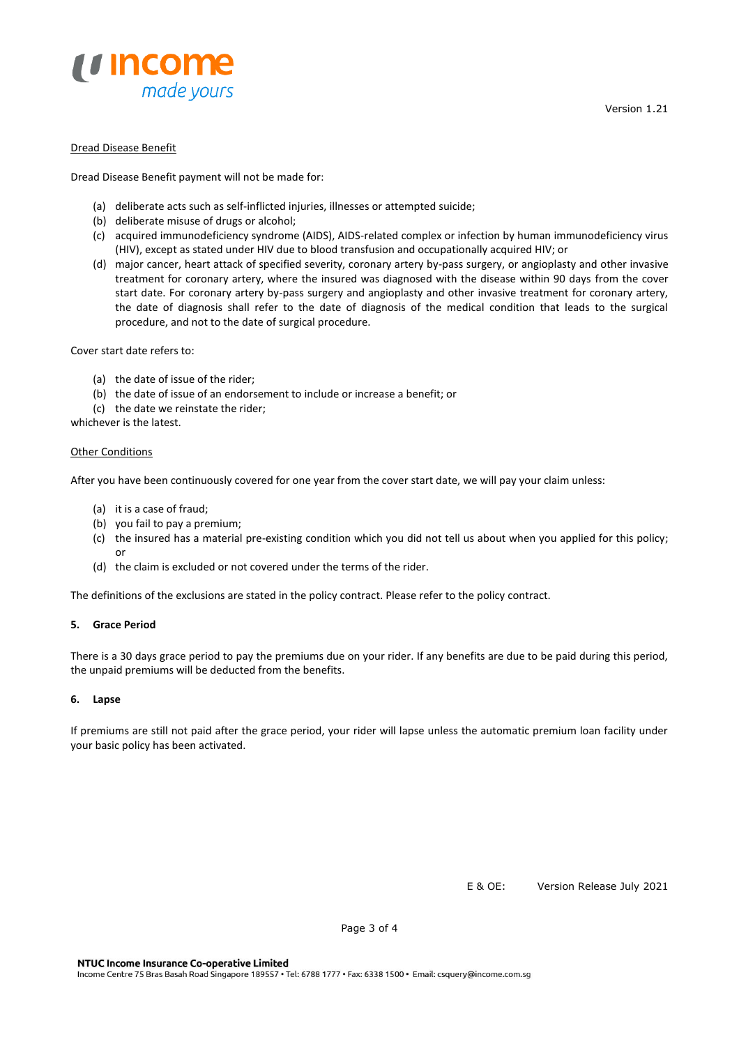

### Dread Disease Benefit

Dread Disease Benefit payment will not be made for:

- (a) deliberate acts such as self-inflicted injuries, illnesses or attempted suicide;
- (b) deliberate misuse of drugs or alcohol;
- (c) acquired immunodeficiency syndrome (AIDS), AIDS-related complex or infection by human immunodeficiency virus (HIV), except as stated under HIV due to blood transfusion and occupationally acquired HIV; or
- (d) major cancer, heart attack of specified severity, coronary artery by-pass surgery, or angioplasty and other invasive treatment for coronary artery, where the insured was diagnosed with the disease within 90 days from the cover start date. For coronary artery by-pass surgery and angioplasty and other invasive treatment for coronary artery, the date of diagnosis shall refer to the date of diagnosis of the medical condition that leads to the surgical procedure, and not to the date of surgical procedure.

Cover start date refers to:

- (a) the date of issue of the rider;
- (b) the date of issue of an endorsement to include or increase a benefit; or
- (c) the date we reinstate the rider;

whichever is the latest.

### **Other Conditions**

After you have been continuously covered for one year from the cover start date, we will pay your claim unless:

- (a) it is a case of fraud;
- (b) you fail to pay a premium;
- (c) the insured has a material pre-existing condition which you did not tell us about when you applied for this policy; or
- (d) the claim is excluded or not covered under the terms of the rider.

The definitions of the exclusions are stated in the policy contract. Please refer to the policy contract.

# **5. Grace Period**

There is a 30 days grace period to pay the premiums due on your rider. If any benefits are due to be paid during this period, the unpaid premiums will be deducted from the benefits.

#### **6. Lapse**

If premiums are still not paid after the grace period, your rider will lapse unless the automatic premium loan facility under your basic policy has been activated.

E & OE: Version Release July 2021

Page 3 of 4